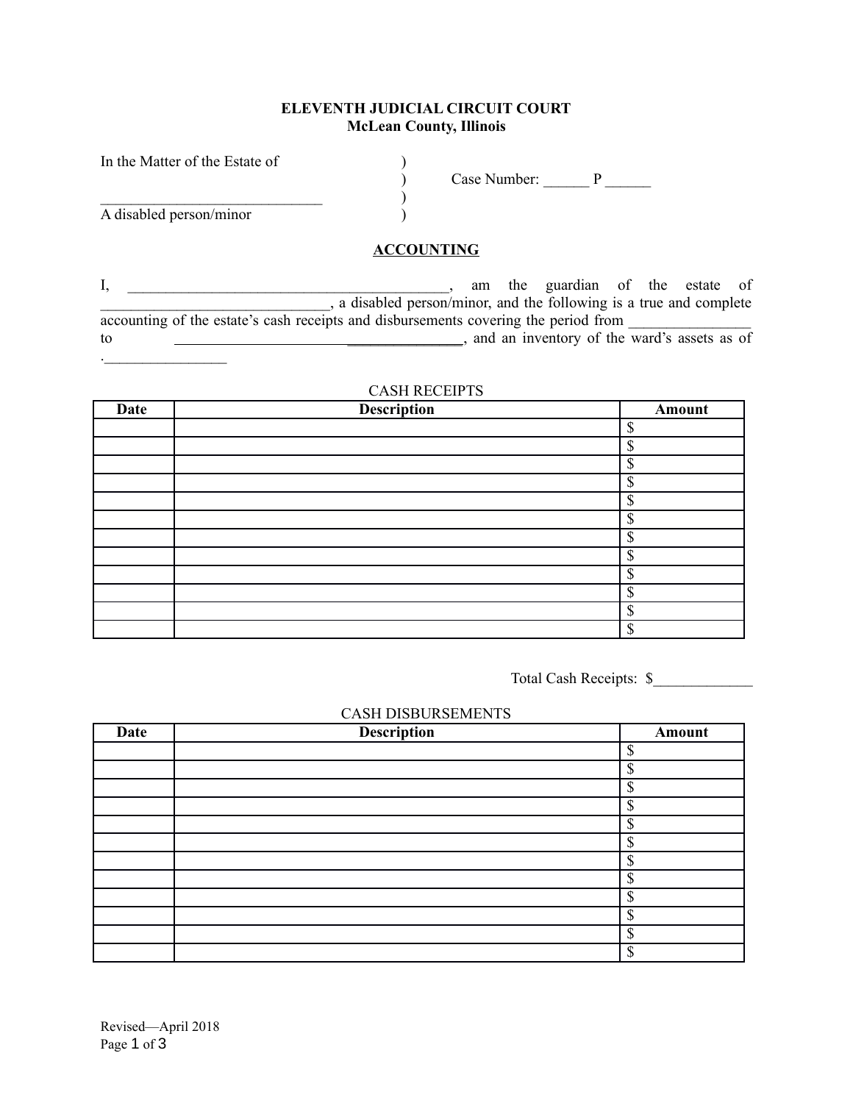### **ELEVENTH JUDICIAL CIRCUIT COURT McLean County, Illinois**

| In the Matter of the Estate of |              |  |
|--------------------------------|--------------|--|
|                                | Case Number: |  |
|                                |              |  |
| A disabled person/minor        |              |  |

### **ACCOUNTING**

I, \_\_\_\_\_\_\_\_\_\_\_\_\_\_\_\_\_\_\_\_\_\_\_\_\_\_\_\_\_\_\_\_\_\_\_\_\_\_\_\_\_\_, am the guardian of the estate of \_\_\_\_\_\_\_\_\_\_\_\_\_\_\_\_\_\_\_\_\_\_\_\_\_\_\_\_\_\_, a disabled person/minor, and the following is a true and complete accounting of the estate's cash receipts and disbursements covering the period from to  $\overline{\phantom{a}}$   $\overline{\phantom{a}}$  and an inventory of the ward's assets as of

## CASH RECEIPTS

| Date | <b>Description</b> | Amount                    |
|------|--------------------|---------------------------|
|      |                    | $\mathbf S$               |
|      |                    | \$                        |
|      |                    | $\mathbf S$               |
|      |                    | <sup>\$</sup>             |
|      |                    | $\mathbf S$               |
|      |                    | $\boldsymbol{\mathsf{S}}$ |
|      |                    | ¢<br>D                    |
|      |                    | \$                        |
|      |                    | \$                        |
|      |                    | \$                        |
|      |                    | \$                        |
|      |                    | $\mathcal{S}$             |

Total Cash Receipts: \$\_\_\_\_\_\_\_\_\_\_\_\_\_

# CASH DISBURSEMENTS

| <b>Date</b> | <b>Description</b> | Amount        |
|-------------|--------------------|---------------|
|             |                    | $\mathbf S$   |
|             |                    | \$            |
|             |                    | $\mathbb{S}$  |
|             |                    | $\mathcal{S}$ |
|             |                    | \$            |
|             |                    | <b></b>       |
|             |                    | \$            |
|             |                    | \$            |
|             |                    | ¢<br>J        |
|             |                    | \$            |
|             |                    | \$            |
|             |                    | \$            |

.\_\_\_\_\_\_\_\_\_\_\_\_\_\_\_\_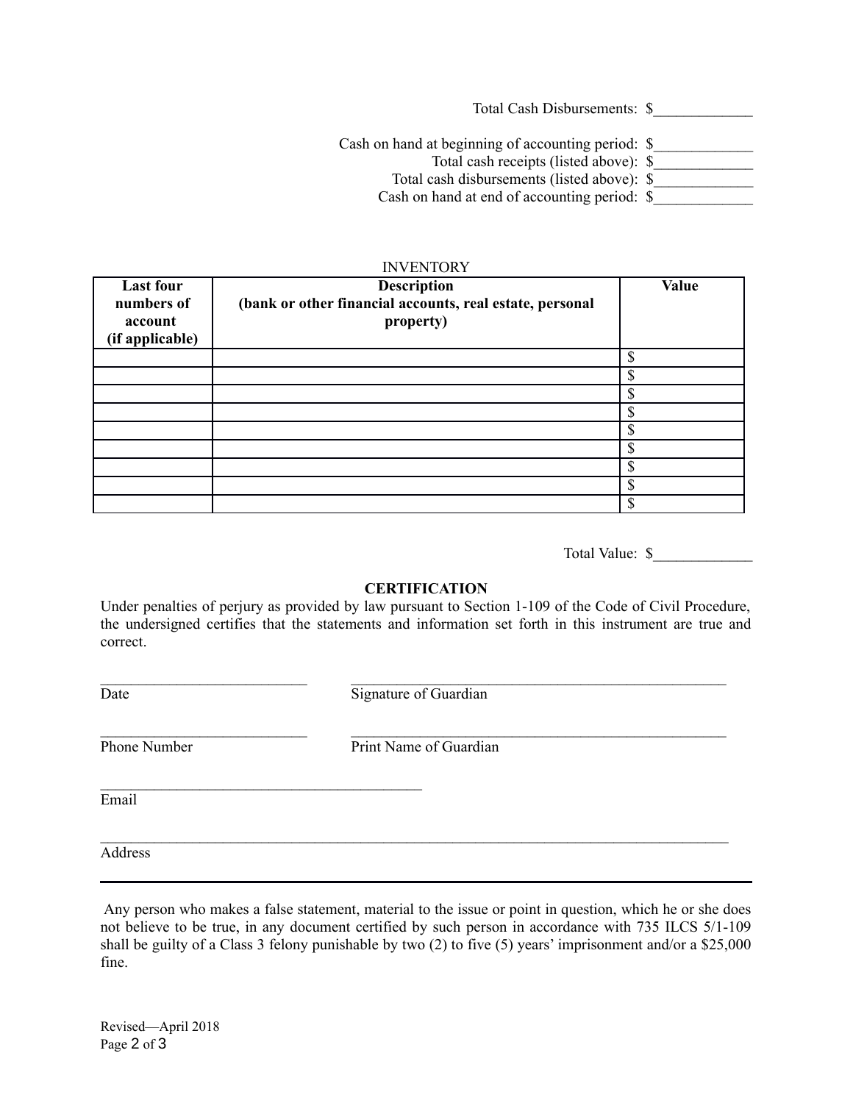Total Cash Disbursements: \$\_\_\_\_\_\_\_\_\_\_\_\_\_ Cash on hand at beginning of accounting period: \$ Total cash receipts (listed above): \$\_\_\_\_\_\_\_\_\_\_\_\_\_ Total cash disbursements (listed above):  $\frac{1}{2}$ Cash on hand at end of accounting period: \$

#### INVENTORY

| <b>Last four</b><br>numbers of<br>account<br>(if applicable) | <b>Description</b><br>(bank or other financial accounts, real estate, personal<br>property) | <b>Value</b> |
|--------------------------------------------------------------|---------------------------------------------------------------------------------------------|--------------|
|                                                              |                                                                                             |              |
|                                                              |                                                                                             | Φ            |
|                                                              |                                                                                             |              |
|                                                              |                                                                                             |              |
|                                                              |                                                                                             | ¢            |
|                                                              |                                                                                             | ጦ            |
|                                                              |                                                                                             |              |
|                                                              |                                                                                             | Φ<br>ה.      |
|                                                              |                                                                                             | ጦ            |

Total Value: \$

#### **CERTIFICATION**

Under penalties of perjury as provided by law pursuant to Section 1-109 of the Code of Civil Procedure, the undersigned certifies that the statements and information set forth in this instrument are true and correct.

\_\_\_\_\_\_\_\_\_\_\_\_\_\_\_\_\_\_\_\_\_\_\_\_\_\_\_ \_\_\_\_\_\_\_\_\_\_\_\_\_\_\_\_\_\_\_\_\_\_\_\_\_\_\_\_\_\_\_\_\_\_\_\_\_\_\_\_\_\_\_\_\_\_\_\_\_ Date Signature of Guardian

 $\mathcal{L}_\text{max}$ 

\_\_\_\_\_\_\_\_\_\_\_\_\_\_\_\_\_\_\_\_\_\_\_\_\_\_\_ \_\_\_\_\_\_\_\_\_\_\_\_\_\_\_\_\_\_\_\_\_\_\_\_\_\_\_\_\_\_\_\_\_\_\_\_\_\_\_\_\_\_\_\_\_\_\_\_\_ Phone Number Print Name of Guardian

 $\mathcal{L}_\mathcal{L} = \{ \mathcal{L}_\mathcal{L} = \{ \mathcal{L}_\mathcal{L} = \{ \mathcal{L}_\mathcal{L} = \{ \mathcal{L}_\mathcal{L} = \{ \mathcal{L}_\mathcal{L} = \{ \mathcal{L}_\mathcal{L} = \{ \mathcal{L}_\mathcal{L} = \{ \mathcal{L}_\mathcal{L} = \{ \mathcal{L}_\mathcal{L} = \{ \mathcal{L}_\mathcal{L} = \{ \mathcal{L}_\mathcal{L} = \{ \mathcal{L}_\mathcal{L} = \{ \mathcal{L}_\mathcal{L} = \{ \mathcal{L}_\mathcal{$ 

Email

Address

 Any person who makes a false statement, material to the issue or point in question, which he or she does not believe to be true, in any document certified by such person in accordance with 735 ILCS 5/1-109 shall be guilty of a Class 3 felony punishable by two (2) to five (5) years' imprisonment and/or a \$25,000 fine.

Revised—April 2018 Page 2 of 3